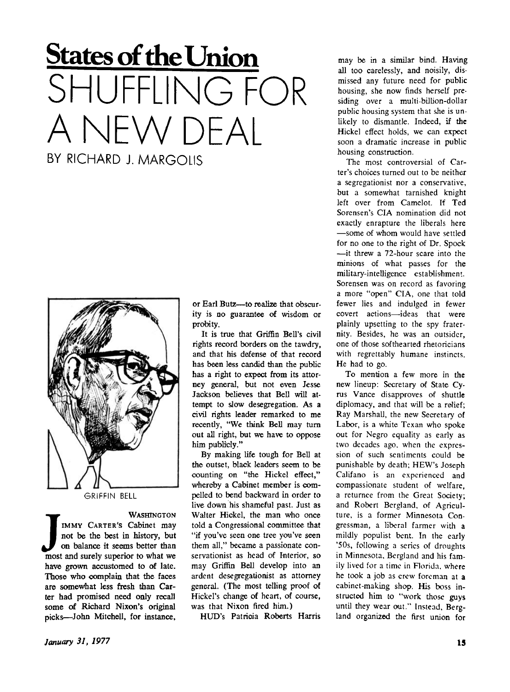## **States of the Union**  SHUFFLING FOR A NEW DFAI BY RICHARD I. MARGOLIS



IMMY CARTER'S Cabinet may<br>
not be the best in history, but<br>
on balance it seems better than<br>
most and surely superior to what we **WASHINGTON IMM Y CARTER'S** Cabinet may not be the best in history, but on balance it seems better than have grown accustomed to of late. Those who complain that the faces are somewhat less fresh than Carter had promised need only recall some of Richard Nixon's original picks—John Mitchell, for instance,

or Earl Butz--- to realize that obscurity is no guarantee of wisdom or probity.

It is true that Griffin Bell's civil rights record borders on the tawdry, and that his defense of that record has been less candid than the public has a right to expect from its attorney general, but not even Jesse Jackson believes that Bell will attempt to slow desegregation. As a civil rights leader remarked to me recently, "We think Bell may turn out all right, but we have to oppose him publicly."

By making life tough for Bell at the outset, black leaders seem to be counting on "the Hickel effect," whereby a Cabinet member is compelled to bend backward in order to live down his shameful past. Just as Walter Hiokel, the man who once told a Congressional committee that " if you've seen one tree you've seen them all," became a passionate conservationist as head of Interior, so may Griffin Bell develop into an ardent desegregationist as attorney general. (The most telling proof of Hickel's change of heart, of course, was that Nixon fired him.)

HUD's Patricia Roberts Harris

may be in a similar bind. Having all too carelessly, and noisily, dismissed any future need for public housing, she now finds herself presiding over a multi-billion-dollar public housing system that she is unlikely to dismantle. Indeed, if the Hickel effect holds, we can expect soon a dramatic increase in public housing construction.

The most controversial of Carter's choices turned out to be neither a segregationist nor a conservative, but a somewhat tarnished knight left over from Camelot. If Ted Sorensen's CIA nomination did not exactly enrapture the liberals here —some of whom would have settled for no one to the right of Dr. Spock —it threw a 72-hour scare into the minions of what passes for the military-intelligence establishment. Sorensen was on record as favoring a more "open" CIA, one that told fewer lies and indulged in fewer covert actions—ideas that were plainly upsetting to the spy fraternity. Besides, he was an outsider, one of those softhearted rhetoricians with regrettably humane instincts. He had to go.

To mention a few more in the new lineup: Secretary of State Cyrus Vance disapproves of shuttle diplomacy, and that will be a relief; Ray Marshall, the new Secretary of Labor, is a white Texan who spoke out for Negro equality as early as two decades ago, when the expression of such sentiments could be punishable by death; HEW's Joseph Califano is an experienced and compassionate student of welfare, a returnee from the Great Society; and Robert Bergland, of Agriculture, is a former Minnesota Congressman, a liberal farmer with a mildly populist bent. In the early '50s, following a series of droughts in Minnesota, Bergland and his family lived for a time in Florida, where he took a job as crew foreman at **a**  cabinet-making shop. His boss instructed him to "work those guys until they wear out." Instead, Bergland organized the first union for